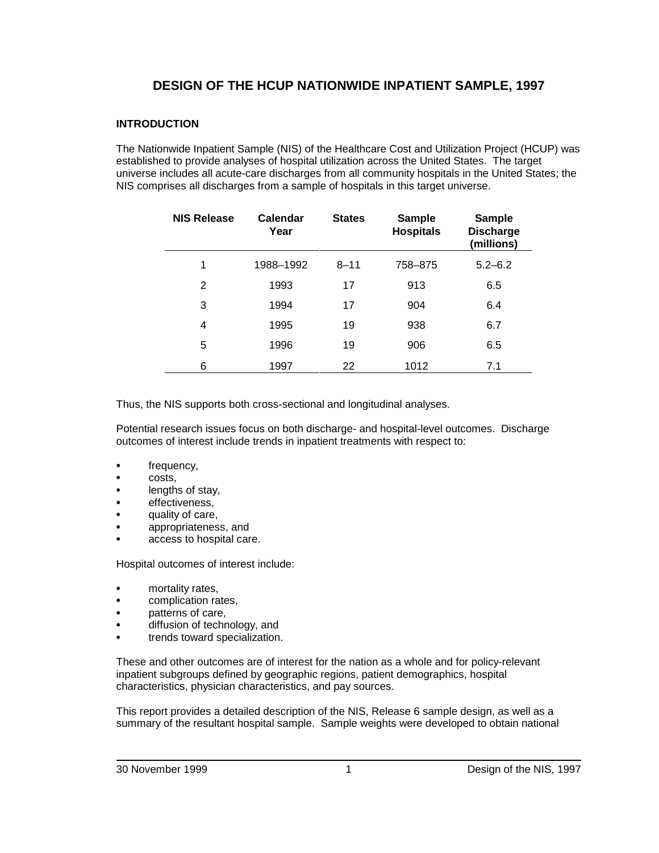# **DESIGN OF THE HCUP NATIONWIDE INPATIENT SAMPLE, 1997**

## **INTRODUCTION**

The Nationwide Inpatient Sample (NIS) of the Healthcare Cost and Utilization Project (HCUP) was established to provide analyses of hospital utilization across the United States. The target universe includes all acute-care discharges from all community hospitals in the United States; the NIS comprises all discharges from a sample of hospitals in this target universe.

| <b>NIS Release</b> | Calendar<br>Year | <b>States</b> | <b>Sample</b><br><b>Hospitals</b> | <b>Sample</b><br><b>Discharge</b><br>(millions) |
|--------------------|------------------|---------------|-----------------------------------|-------------------------------------------------|
| 1                  | 1988-1992        | $8 - 11$      | 758-875                           | $5.2 - 6.2$                                     |
| 2                  | 1993             | 17            | 913                               | 6.5                                             |
| 3                  | 1994             | 17            | 904                               | 6.4                                             |
| 4                  | 1995             | 19            | 938                               | 6.7                                             |
| 5                  | 1996             | 19            | 906                               | 6.5                                             |
| 6                  | 1997             | 22            | 1012                              | 7.1                                             |

Thus, the NIS supports both cross-sectional and longitudinal analyses.

Potential research issues focus on both discharge- and hospital-level outcomes. Discharge outcomes of interest include trends in inpatient treatments with respect to:

- frequency,
- costs,
- lengths of stay,
- effectiveness,
- quality of care,
- appropriateness, and
- access to hospital care.

Hospital outcomes of interest include:

- mortality rates,
- complication rates,
- patterns of care,
- diffusion of technology, and
- trends toward specialization.

These and other outcomes are of interest for the nation as a whole and for policy-relevant inpatient subgroups defined by geographic regions, patient demographics, hospital characteristics, physician characteristics, and pay sources.

This report provides a detailed description of the NIS, Release 6 sample design, as well as a summary of the resultant hospital sample. Sample weights were developed to obtain national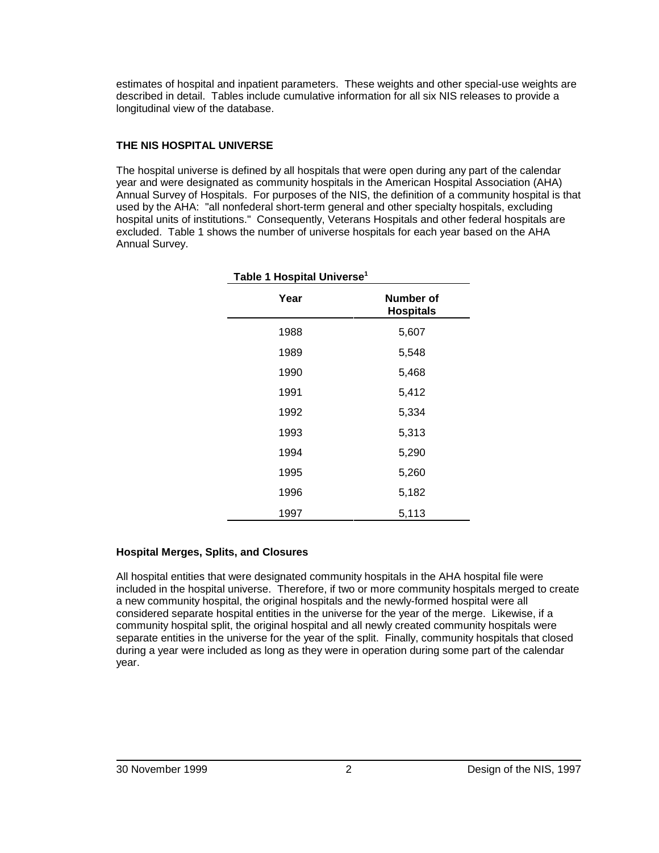estimates of hospital and inpatient parameters. These weights and other special-use weights are described in detail. Tables include cumulative information for all six NIS releases to provide a longitudinal view of the database.

## **THE NIS HOSPITAL UNIVERSE**

The hospital universe is defined by all hospitals that were open during any part of the calendar year and were designated as community hospitals in the American Hospital Association (AHA) Annual Survey of Hospitals. For purposes of the NIS, the definition of a community hospital is that used by the AHA: "all nonfederal short-term general and other specialty hospitals, excluding hospital units of institutions." Consequently, Veterans Hospitals and other federal hospitals are excluded. Table 1 shows the number of universe hospitals for each year based on the AHA Annual Survey.

| Table 1 Hospital Universe <sup>1</sup> |                               |  |  |
|----------------------------------------|-------------------------------|--|--|
| Year                                   | Number of<br><b>Hospitals</b> |  |  |
| 1988                                   | 5,607                         |  |  |
| 1989                                   | 5,548                         |  |  |
| 1990                                   | 5,468                         |  |  |
| 1991                                   | 5,412                         |  |  |
| 1992                                   | 5,334                         |  |  |
| 1993                                   | 5,313                         |  |  |
| 1994                                   | 5,290                         |  |  |
| 1995                                   | 5,260                         |  |  |
| 1996                                   | 5,182                         |  |  |
| 1997                                   | 5,113                         |  |  |

## **Hospital Merges, Splits, and Closures**

All hospital entities that were designated community hospitals in the AHA hospital file were included in the hospital universe. Therefore, if two or more community hospitals merged to create a new community hospital, the original hospitals and the newly-formed hospital were all considered separate hospital entities in the universe for the year of the merge. Likewise, if a community hospital split, the original hospital and all newly created community hospitals were separate entities in the universe for the year of the split. Finally, community hospitals that closed during a year were included as long as they were in operation during some part of the calendar year.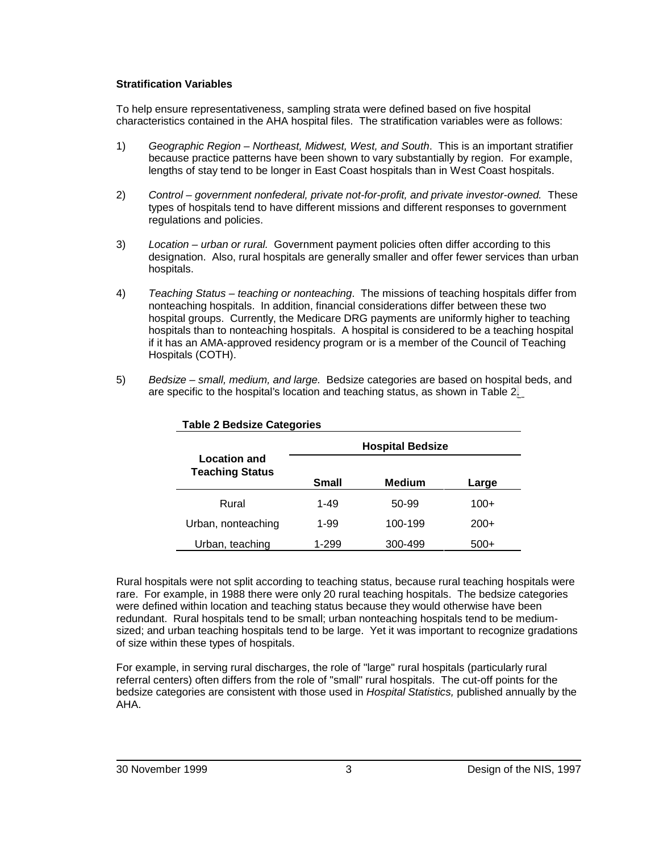### **Stratification Variables**

To help ensure representativeness, sampling strata were defined based on five hospital characteristics contained in the AHA hospital files. The stratification variables were as follows:

- 1) Geographic Region Northeast, Midwest, West, and South. This is an important stratifier because practice patterns have been shown to vary substantially by region. For example, lengths of stay tend to be longer in East Coast hospitals than in West Coast hospitals.
- 2) Control government nonfederal, private not-for-profit, and private investor-owned. These types of hospitals tend to have different missions and different responses to government regulations and policies.
- 3) Location urban or rural. Government payment policies often differ according to this designation. Also, rural hospitals are generally smaller and offer fewer services than urban hospitals.
- 4) Teaching Status teaching or nonteaching. The missions of teaching hospitals differ from nonteaching hospitals. In addition, financial considerations differ between these two hospital groups. Currently, the Medicare DRG payments are uniformly higher to teaching hospitals than to nonteaching hospitals. A hospital is considered to be a teaching hospital if it has an AMA-approved residency program or is a member of the Council of Teaching Hospitals (COTH).
- 5) Bedsize small, medium, and large. Bedsize categories are based on hospital beds, and are specific to the hospital's location and teaching status, as shown in Table 2.

|                                               |              | <b>Hospital Bedsize</b> |        |
|-----------------------------------------------|--------------|-------------------------|--------|
| <b>Location and</b><br><b>Teaching Status</b> | <b>Small</b> | <b>Medium</b>           | Large  |
| Rural                                         | 1-49         | 50-99                   | $100+$ |
| Urban, nonteaching                            | 1-99         | 100-199                 | $200+$ |
| Urban, teaching                               | 1-299        | 300-499                 | $500+$ |

#### **Table 2 Bedsize Categories**

Rural hospitals were not split according to teaching status, because rural teaching hospitals were rare. For example, in 1988 there were only 20 rural teaching hospitals. The bedsize categories were defined within location and teaching status because they would otherwise have been redundant. Rural hospitals tend to be small; urban nonteaching hospitals tend to be mediumsized; and urban teaching hospitals tend to be large. Yet it was important to recognize gradations of size within these types of hospitals.

For example, in serving rural discharges, the role of "large" rural hospitals (particularly rural referral centers) often differs from the role of "small" rural hospitals. The cut-off points for the bedsize categories are consistent with those used in Hospital Statistics, published annually by the AHA.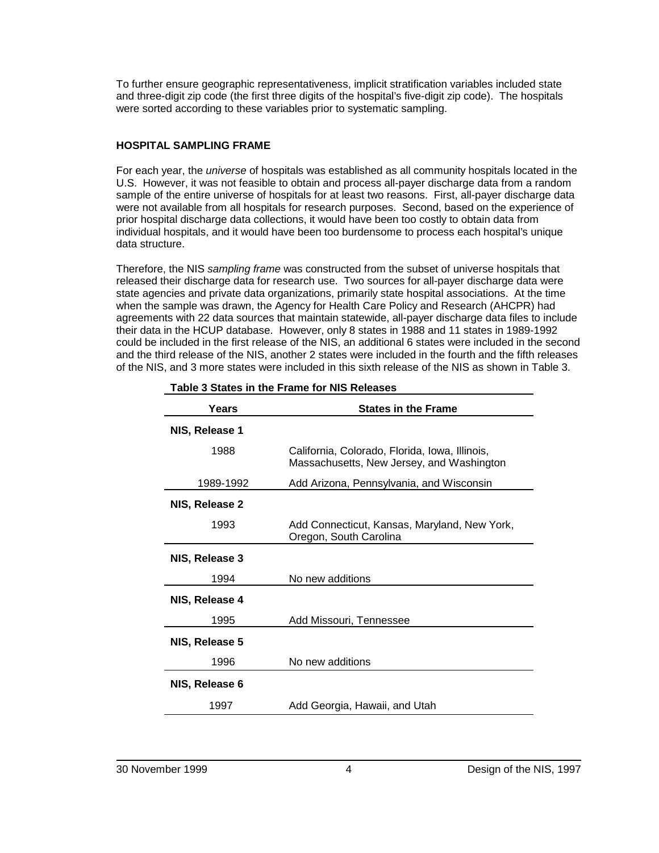To further ensure geographic representativeness, implicit stratification variables included state and three-digit zip code (the first three digits of the hospital's five-digit zip code). The hospitals were sorted according to these variables prior to systematic sampling.

## **HOSPITAL SAMPLING FRAME**

For each year, the universe of hospitals was established as all community hospitals located in the U.S. However, it was not feasible to obtain and process all-payer discharge data from a random sample of the entire universe of hospitals for at least two reasons. First, all-payer discharge data were not available from all hospitals for research purposes. Second, based on the experience of prior hospital discharge data collections, it would have been too costly to obtain data from individual hospitals, and it would have been too burdensome to process each hospital's unique data structure.

Therefore, the NIS sampling frame was constructed from the subset of universe hospitals that released their discharge data for research use. Two sources for all-payer discharge data were state agencies and private data organizations, primarily state hospital associations. At the time when the sample was drawn, the Agency for Health Care Policy and Research (AHCPR) had agreements with 22 data sources that maintain statewide, all-payer discharge data files to include their data in the HCUP database. However, only 8 states in 1988 and 11 states in 1989-1992 could be included in the first release of the NIS, an additional 6 states were included in the second and the third release of the NIS, another 2 states were included in the fourth and the fifth releases of the NIS, and 3 more states were included in this sixth release of the NIS as shown in Table 3.

| Years          | <b>States in the Frame</b>                                                                  |
|----------------|---------------------------------------------------------------------------------------------|
| NIS, Release 1 |                                                                                             |
| 1988           | California, Colorado, Florida, Iowa, Illinois,<br>Massachusetts, New Jersey, and Washington |
| 1989-1992      | Add Arizona, Pennsylvania, and Wisconsin                                                    |
| NIS, Release 2 |                                                                                             |
| 1993           | Add Connecticut, Kansas, Maryland, New York,<br>Oregon, South Carolina                      |
| NIS, Release 3 |                                                                                             |
| 1994           | No new additions                                                                            |
| NIS, Release 4 |                                                                                             |
| 1995           | Add Missouri, Tennessee                                                                     |
| NIS, Release 5 |                                                                                             |
| 1996           | No new additions                                                                            |
| NIS, Release 6 |                                                                                             |
| 1997           | Add Georgia, Hawaii, and Utah                                                               |

|  |  | Table 3 States in the Frame for NIS Releases |
|--|--|----------------------------------------------|
|  |  |                                              |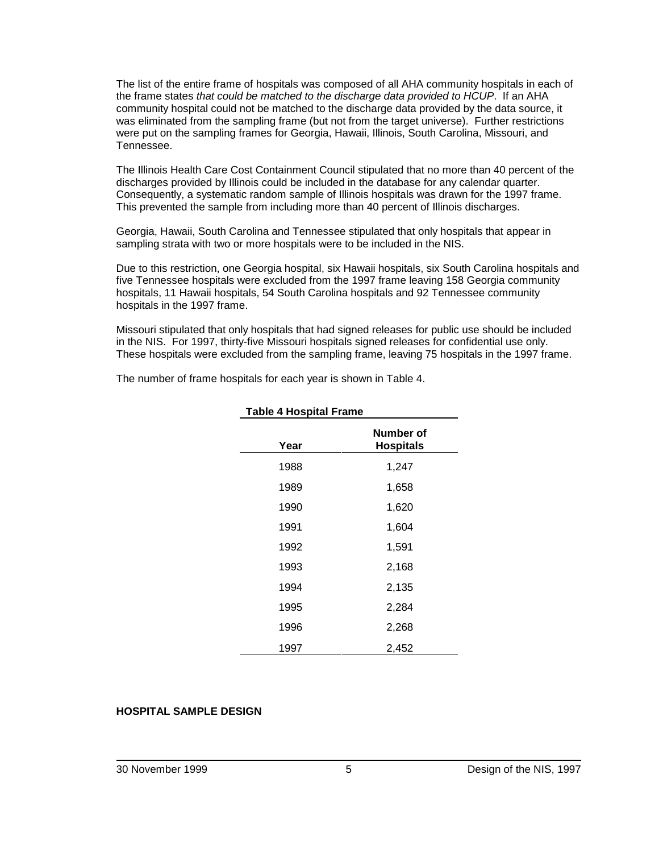The list of the entire frame of hospitals was composed of all AHA community hospitals in each of the frame states that could be matched to the discharge data provided to HCUP. If an AHA community hospital could not be matched to the discharge data provided by the data source, it was eliminated from the sampling frame (but not from the target universe). Further restrictions were put on the sampling frames for Georgia, Hawaii, Illinois, South Carolina, Missouri, and Tennessee.

The Illinois Health Care Cost Containment Council stipulated that no more than 40 percent of the discharges provided by Illinois could be included in the database for any calendar quarter. Consequently, a systematic random sample of Illinois hospitals was drawn for the 1997 frame. This prevented the sample from including more than 40 percent of Illinois discharges.

Georgia, Hawaii, South Carolina and Tennessee stipulated that only hospitals that appear in sampling strata with two or more hospitals were to be included in the NIS.

Due to this restriction, one Georgia hospital, six Hawaii hospitals, six South Carolina hospitals and five Tennessee hospitals were excluded from the 1997 frame leaving 158 Georgia community hospitals, 11 Hawaii hospitals, 54 South Carolina hospitals and 92 Tennessee community hospitals in the 1997 frame.

Missouri stipulated that only hospitals that had signed releases for public use should be included in the NIS. For 1997, thirty-five Missouri hospitals signed releases for confidential use only. These hospitals were excluded from the sampling frame, leaving 75 hospitals in the 1997 frame.

The number of frame hospitals for each year is shown in Table 4.

| Year | Number of<br><b>Hospitals</b> |
|------|-------------------------------|
| 1988 | 1,247                         |
| 1989 | 1,658                         |
| 1990 | 1,620                         |
| 1991 | 1,604                         |
| 1992 | 1,591                         |
| 1993 | 2,168                         |
| 1994 | 2,135                         |
| 1995 | 2,284                         |
| 1996 | 2,268                         |
| 1997 | 2,452                         |

#### **Table 4 Hospital Frame**

#### **HOSPITAL SAMPLE DESIGN**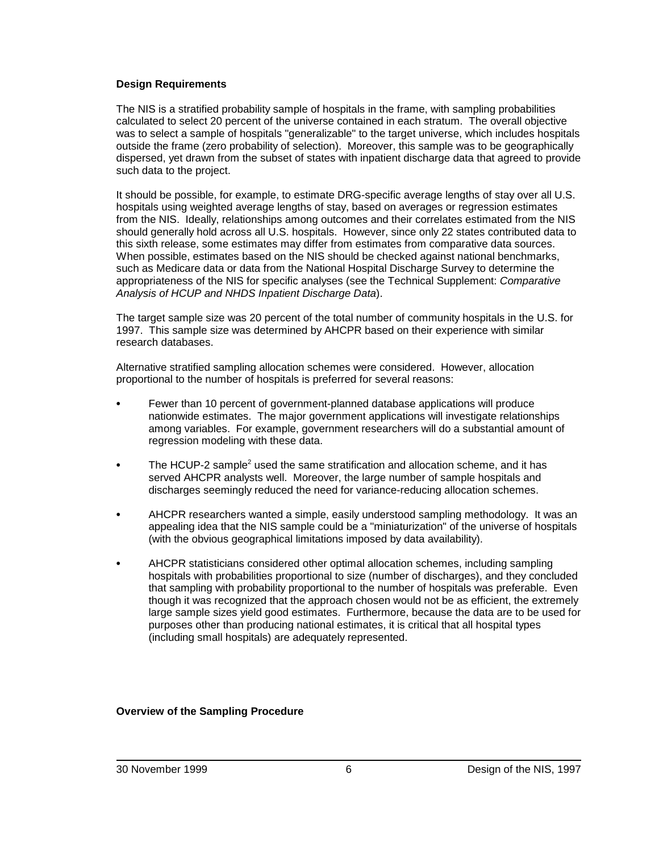#### **Design Requirements**

The NIS is a stratified probability sample of hospitals in the frame, with sampling probabilities calculated to select 20 percent of the universe contained in each stratum. The overall objective was to select a sample of hospitals "generalizable" to the target universe, which includes hospitals outside the frame (zero probability of selection). Moreover, this sample was to be geographically dispersed, yet drawn from the subset of states with inpatient discharge data that agreed to provide such data to the project.

It should be possible, for example, to estimate DRG-specific average lengths of stay over all U.S. hospitals using weighted average lengths of stay, based on averages or regression estimates from the NIS. Ideally, relationships among outcomes and their correlates estimated from the NIS should generally hold across all U.S. hospitals. However, since only 22 states contributed data to this sixth release, some estimates may differ from estimates from comparative data sources. When possible, estimates based on the NIS should be checked against national benchmarks, such as Medicare data or data from the National Hospital Discharge Survey to determine the appropriateness of the NIS for specific analyses (see the Technical Supplement: Comparative Analysis of HCUP and NHDS Inpatient Discharge Data).

The target sample size was 20 percent of the total number of community hospitals in the U.S. for 1997. This sample size was determined by AHCPR based on their experience with similar research databases.

Alternative stratified sampling allocation schemes were considered. However, allocation proportional to the number of hospitals is preferred for several reasons:

- Fewer than 10 percent of government-planned database applications will produce nationwide estimates. The major government applications will investigate relationships among variables. For example, government researchers will do a substantial amount of regression modeling with these data.
- The HCUP-2 sample<sup>2</sup> used the same stratification and allocation scheme, and it has served AHCPR analysts well. Moreover, the large number of sample hospitals and discharges seemingly reduced the need for variance-reducing allocation schemes.
- AHCPR researchers wanted a simple, easily understood sampling methodology. It was an appealing idea that the NIS sample could be a "miniaturization" of the universe of hospitals (with the obvious geographical limitations imposed by data availability).
- AHCPR statisticians considered other optimal allocation schemes, including sampling hospitals with probabilities proportional to size (number of discharges), and they concluded that sampling with probability proportional to the number of hospitals was preferable. Even though it was recognized that the approach chosen would not be as efficient, the extremely large sample sizes yield good estimates. Furthermore, because the data are to be used for purposes other than producing national estimates, it is critical that all hospital types (including small hospitals) are adequately represented.

**Overview of the Sampling Procedure**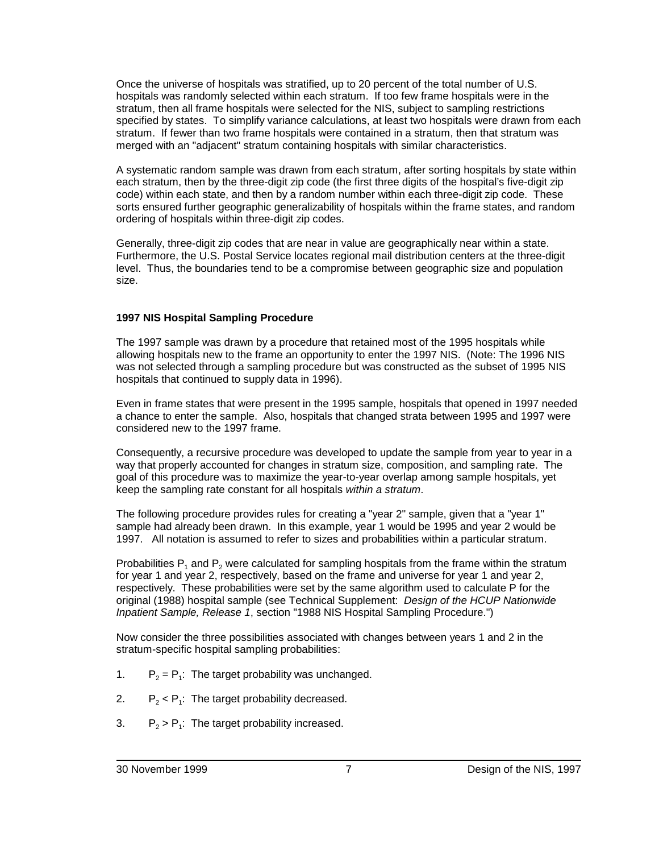Once the universe of hospitals was stratified, up to 20 percent of the total number of U.S. hospitals was randomly selected within each stratum. If too few frame hospitals were in the stratum, then all frame hospitals were selected for the NIS, subject to sampling restrictions specified by states. To simplify variance calculations, at least two hospitals were drawn from each stratum. If fewer than two frame hospitals were contained in a stratum, then that stratum was merged with an "adjacent" stratum containing hospitals with similar characteristics.

A systematic random sample was drawn from each stratum, after sorting hospitals by state within each stratum, then by the three-digit zip code (the first three digits of the hospital's five-digit zip code) within each state, and then by a random number within each three-digit zip code. These sorts ensured further geographic generalizability of hospitals within the frame states, and random ordering of hospitals within three-digit zip codes.

Generally, three-digit zip codes that are near in value are geographically near within a state. Furthermore, the U.S. Postal Service locates regional mail distribution centers at the three-digit level. Thus, the boundaries tend to be a compromise between geographic size and population size.

## **1997 NIS Hospital Sampling Procedure**

The 1997 sample was drawn by a procedure that retained most of the 1995 hospitals while allowing hospitals new to the frame an opportunity to enter the 1997 NIS. (Note: The 1996 NIS was not selected through a sampling procedure but was constructed as the subset of 1995 NIS hospitals that continued to supply data in 1996).

Even in frame states that were present in the 1995 sample, hospitals that opened in 1997 needed a chance to enter the sample. Also, hospitals that changed strata between 1995 and 1997 were considered new to the 1997 frame.

Consequently, a recursive procedure was developed to update the sample from year to year in a way that properly accounted for changes in stratum size, composition, and sampling rate. The goal of this procedure was to maximize the year-to-year overlap among sample hospitals, yet keep the sampling rate constant for all hospitals within a stratum.

The following procedure provides rules for creating a "year 2" sample, given that a "year 1" sample had already been drawn. In this example, year 1 would be 1995 and year 2 would be 1997. All notation is assumed to refer to sizes and probabilities within a particular stratum.

Probabilities  $P_1$  and  $P_2$  were calculated for sampling hospitals from the frame within the stratum for year 1 and year 2, respectively, based on the frame and universe for year 1 and year 2, respectively. These probabilities were set by the same algorithm used to calculate P for the original (1988) hospital sample (see Technical Supplement: Design of the HCUP Nationwide Inpatient Sample, Release 1, section "1988 NIS Hospital Sampling Procedure.")

Now consider the three possibilities associated with changes between years 1 and 2 in the stratum-specific hospital sampling probabilities:

- 1.  $P_2 = P_1$ : The target probability was unchanged.
- 2.  $P_2 < P_1$ : The target probability decreased.
- 3.  $P_2 > P_1$ : The target probability increased.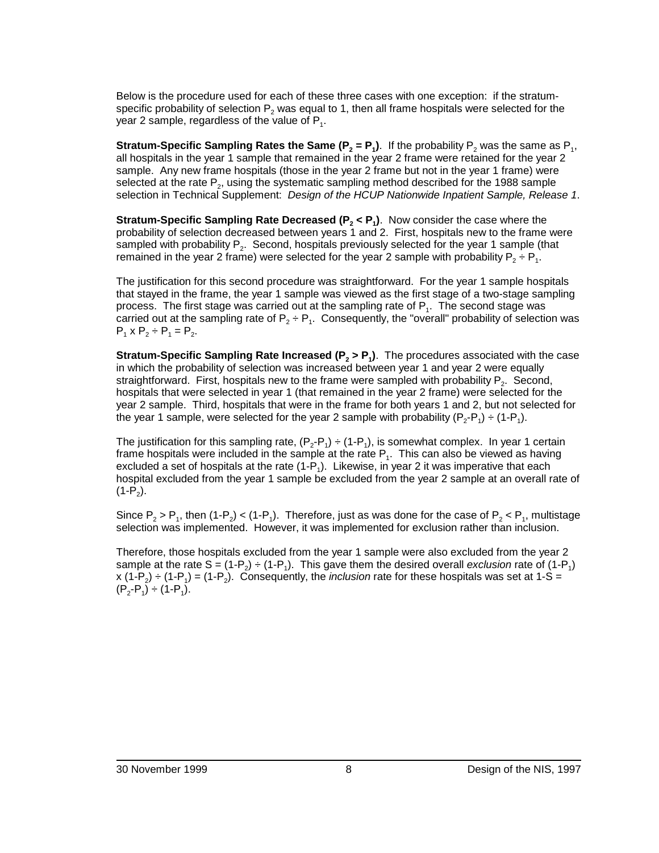Below is the procedure used for each of these three cases with one exception: if the stratumspecific probability of selection  $P_2$  was equal to 1, then all frame hospitals were selected for the year 2 sample, regardless of the value of  $P_1$ .

**Stratum-Specific Sampling Rates the Same (P<sub>2</sub> = P<sub>1</sub>). If the probability P<sub>2</sub> was the same as P<sub>1</sub>,** all hospitals in the year 1 sample that remained in the year 2 frame were retained for the year 2 sample. Any new frame hospitals (those in the year 2 frame but not in the year 1 frame) were selected at the rate  $P_2$ , using the systematic sampling method described for the 1988 sample selection in Technical Supplement: Design of the HCUP Nationwide Inpatient Sample, Release 1.

**Stratum-Specific Sampling Rate Decreased**  $(P_2 < P_1)$ . Now consider the case where the probability of selection decreased between years 1 and 2. First, hospitals new to the frame were sampled with probability  $P_2$ . Second, hospitals previously selected for the year 1 sample (that remained in the year 2 frame) were selected for the year 2 sample with probability  $P_2 \div P_1$ .

The justification for this second procedure was straightforward. For the year 1 sample hospitals that stayed in the frame, the year 1 sample was viewed as the first stage of a two-stage sampling process. The first stage was carried out at the sampling rate of  $P_1$ . The second stage was carried out at the sampling rate of  $P_2 \div P_1$ . Consequently, the "overall" probability of selection was  $P_1$  x  $P_2 \div P_1 = P_2$ .

**Stratum-Specific Sampling Rate Increased**  $(P_2 > P_1)$ **.** The procedures associated with the case in which the probability of selection was increased between year 1 and year 2 were equally straightforward. First, hospitals new to the frame were sampled with probability  $P_2$ . Second, hospitals that were selected in year 1 (that remained in the year 2 frame) were selected for the year 2 sample. Third, hospitals that were in the frame for both years 1 and 2, but not selected for the year 1 sample, were selected for the year 2 sample with probability  $(P_2-P_1) \div (1-P_1)$ .

The justification for this sampling rate,  $(P_2-P_1) \div (1-P_1)$ , is somewhat complex. In year 1 certain frame hospitals were included in the sample at the rate  $P_1$ . This can also be viewed as having excluded a set of hospitals at the rate  $(1-P_1)$ . Likewise, in year 2 it was imperative that each hospital excluded from the year 1 sample be excluded from the year 2 sample at an overall rate of  $(1-P<sub>2</sub>)$ .

Since  $P_2 > P_1$ , then  $(1-P_2) < (1-P_1)$ . Therefore, just as was done for the case of  $P_2 < P_1$ , multistage selection was implemented. However, it was implemented for exclusion rather than inclusion.

Therefore, those hospitals excluded from the year 1 sample were also excluded from the year 2 sample at the rate S =  $(1-P_2) \div (1-P_1)$ . This gave them the desired overall exclusion rate of  $(1-P_1)$ x (1-P<sub>2</sub>) ÷ (1-P<sub>1</sub>) = (1-P<sub>2</sub>). Consequently, the *inclusion* rate for these hospitals was set at 1-S =  $(P_2-P_1) \div (1-P_1)$ .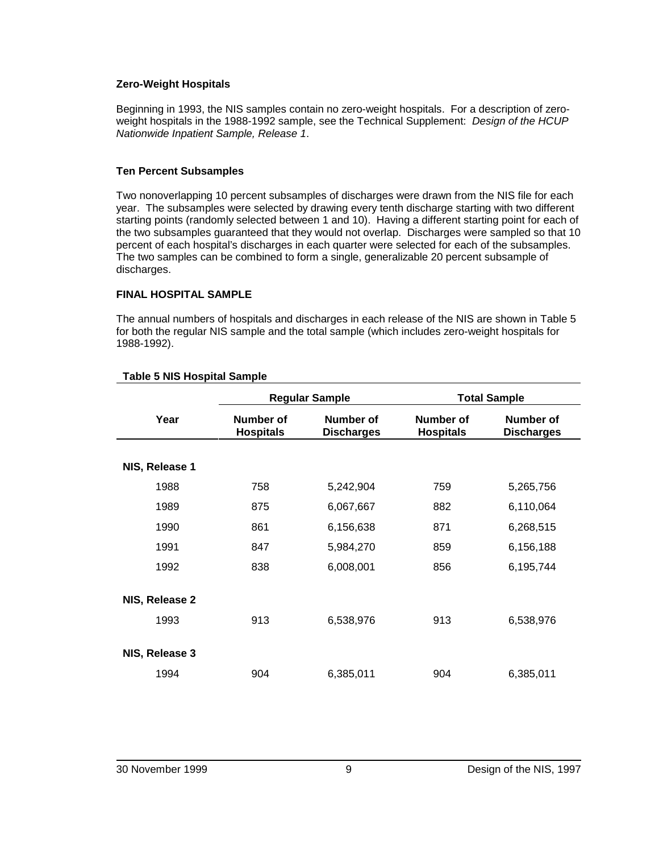#### **Zero-Weight Hospitals**

Beginning in 1993, the NIS samples contain no zero-weight hospitals. For a description of zeroweight hospitals in the 1988-1992 sample, see the Technical Supplement: Design of the HCUP Nationwide Inpatient Sample, Release 1.

#### **Ten Percent Subsamples**

Two nonoverlapping 10 percent subsamples of discharges were drawn from the NIS file for each year. The subsamples were selected by drawing every tenth discharge starting with two different starting points (randomly selected between 1 and 10). Having a different starting point for each of the two subsamples guaranteed that they would not overlap. Discharges were sampled so that 10 percent of each hospital's discharges in each quarter were selected for each of the subsamples. The two samples can be combined to form a single, generalizable 20 percent subsample of discharges.

#### **FINAL HOSPITAL SAMPLE**

The annual numbers of hospitals and discharges in each release of the NIS are shown in Table 5 for both the regular NIS sample and the total sample (which includes zero-weight hospitals for 1988-1992).

|                        | <b>Regular Sample</b>         |                                       |                               | <b>Total Sample</b>            |
|------------------------|-------------------------------|---------------------------------------|-------------------------------|--------------------------------|
| Year                   | Number of<br><b>Hospitals</b> | <b>Number of</b><br><b>Discharges</b> | Number of<br><b>Hospitals</b> | Number of<br><b>Discharges</b> |
| NIS, Release 1         |                               |                                       |                               |                                |
| 1988                   | 758                           | 5,242,904                             | 759                           | 5,265,756                      |
| 1989                   | 875                           | 6,067,667                             | 882                           | 6,110,064                      |
| 1990                   | 861                           | 6,156,638                             | 871                           | 6,268,515                      |
| 1991                   | 847                           | 5,984,270                             | 859                           | 6,156,188                      |
| 1992                   | 838                           | 6,008,001                             | 856                           | 6,195,744                      |
| NIS, Release 2<br>1993 | 913                           | 6,538,976                             | 913                           | 6,538,976                      |
| NIS, Release 3         |                               |                                       |                               |                                |
| 1994                   | 904                           | 6,385,011                             | 904                           | 6,385,011                      |

#### **Table 5 NIS Hospital Sample**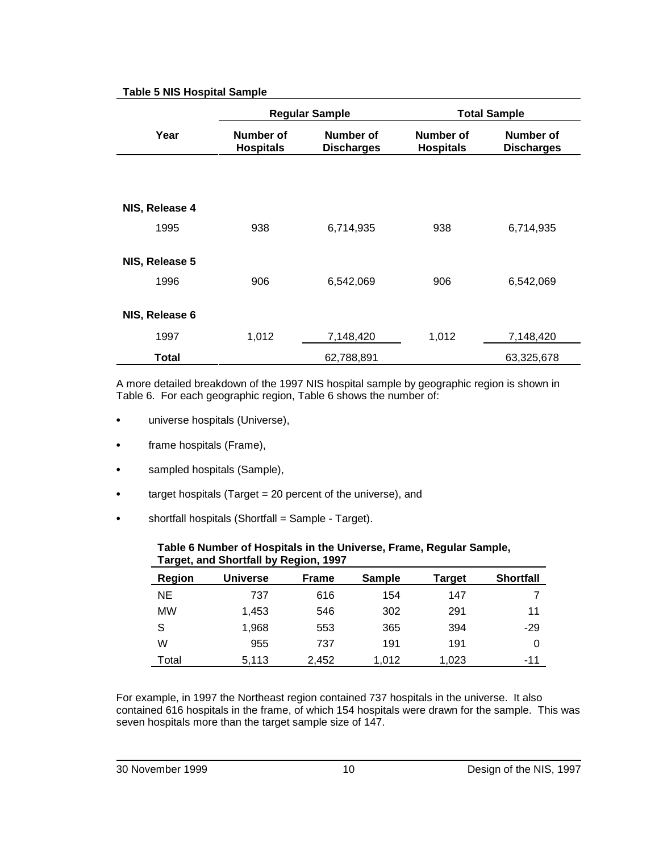## **Table 5 NIS Hospital Sample**

|                | <b>Regular Sample</b>         |                                |                               | <b>Total Sample</b>            |
|----------------|-------------------------------|--------------------------------|-------------------------------|--------------------------------|
| Year           | Number of<br><b>Hospitals</b> | Number of<br><b>Discharges</b> | Number of<br><b>Hospitals</b> | Number of<br><b>Discharges</b> |
|                |                               |                                |                               |                                |
| NIS, Release 4 |                               |                                |                               |                                |
| 1995           | 938                           | 6,714,935                      | 938                           | 6,714,935                      |
| NIS, Release 5 |                               |                                |                               |                                |
| 1996           | 906                           | 6,542,069                      | 906                           | 6,542,069                      |
| NIS, Release 6 |                               |                                |                               |                                |
| 1997           | 1,012                         | 7,148,420                      | 1,012                         | 7,148,420                      |
| <b>Total</b>   |                               | 62,788,891                     |                               | 63,325,678                     |

A more detailed breakdown of the 1997 NIS hospital sample by geographic region is shown in Table 6. For each geographic region, Table 6 shows the number of:

- universe hospitals (Universe),
- frame hospitals (Frame),
- sampled hospitals (Sample),
- target hospitals (Target = 20 percent of the universe), and
- shortfall hospitals (Shortfall = Sample Target).

| Target, and Snortial by Region, 1997 |          |              |               |        |                  |
|--------------------------------------|----------|--------------|---------------|--------|------------------|
| <b>Region</b>                        | Universe | <b>Frame</b> | <b>Sample</b> | Target | <b>Shortfall</b> |
| <b>NE</b>                            | 737      | 616          | 154           | 147    |                  |
| <b>MW</b>                            | 1.453    | 546          | 302           | 291    | 11               |
| S                                    | 1,968    | 553          | 365           | 394    | -29              |
| W                                    | 955      | 737          | 191           | 191    |                  |
| Total                                | 5,113    | 2,452        | 1.012         | 1.023  | -11              |

### **Table 6 Number of Hospitals in the Universe, Frame, Regular Sample, Target, and Shortfall by Region, 1997**

For example, in 1997 the Northeast region contained 737 hospitals in the universe. It also contained 616 hospitals in the frame, of which 154 hospitals were drawn for the sample. This was seven hospitals more than the target sample size of 147.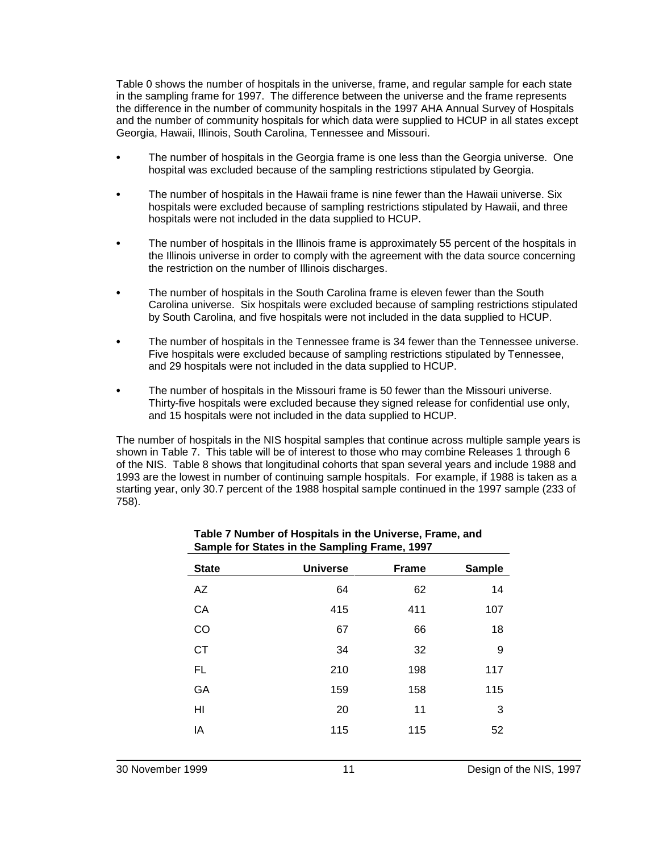Table 0 shows the number of hospitals in the universe, frame, and regular sample for each state in the sampling frame for 1997. The difference between the universe and the frame represents the difference in the number of community hospitals in the 1997 AHA Annual Survey of Hospitals and the number of community hospitals for which data were supplied to HCUP in all states except Georgia, Hawaii, Illinois, South Carolina, Tennessee and Missouri.

- The number of hospitals in the Georgia frame is one less than the Georgia universe. One hospital was excluded because of the sampling restrictions stipulated by Georgia.
- The number of hospitals in the Hawaii frame is nine fewer than the Hawaii universe. Six hospitals were excluded because of sampling restrictions stipulated by Hawaii, and three hospitals were not included in the data supplied to HCUP.
- The number of hospitals in the Illinois frame is approximately 55 percent of the hospitals in the Illinois universe in order to comply with the agreement with the data source concerning the restriction on the number of Illinois discharges.
- The number of hospitals in the South Carolina frame is eleven fewer than the South Carolina universe. Six hospitals were excluded because of sampling restrictions stipulated by South Carolina, and five hospitals were not included in the data supplied to HCUP.
- The number of hospitals in the Tennessee frame is 34 fewer than the Tennessee universe. Five hospitals were excluded because of sampling restrictions stipulated by Tennessee, and 29 hospitals were not included in the data supplied to HCUP.
- The number of hospitals in the Missouri frame is 50 fewer than the Missouri universe. Thirty-five hospitals were excluded because they signed release for confidential use only, and 15 hospitals were not included in the data supplied to HCUP.

The number of hospitals in the NIS hospital samples that continue across multiple sample years is shown in Table 7. This table will be of interest to those who may combine Releases 1 through 6 of the NIS. Table 8 shows that longitudinal cohorts that span several years and include 1988 and 1993 are the lowest in number of continuing sample hospitals. For example, if 1988 is taken as a starting year, only 30.7 percent of the 1988 hospital sample continued in the 1997 sample (233 of 758).

| <b>Universe</b> | <b>Frame</b> | <b>Sample</b> |
|-----------------|--------------|---------------|
| 64              | 62           | 14            |
| 415             | 411          | 107           |
| 67              | 66           | 18            |
| 34              | 32           | 9             |
| 210             | 198          | 117           |
| 159             | 158          | 115           |
| 20              | 11           | 3             |
| 115             | 115          | 52            |
|                 |              |               |

| Table 7 Number of Hospitals in the Universe, Frame, and |
|---------------------------------------------------------|
| Sample for States in the Sampling Frame, 1997           |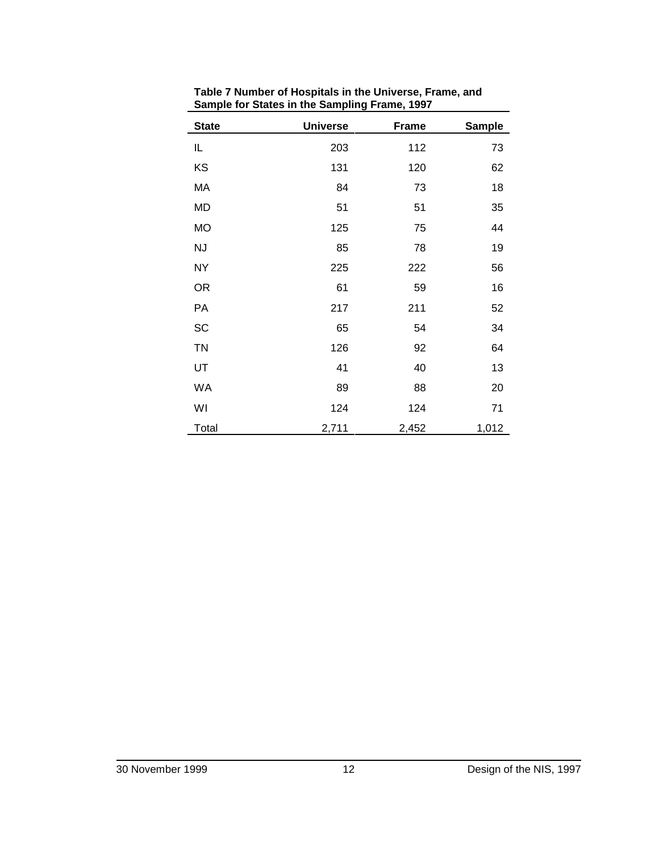| <b>State</b> | <b>Universe</b> | <b>Frame</b> | <b>Sample</b> |
|--------------|-----------------|--------------|---------------|
| IL           | 203             | 112          | 73            |
| KS           | 131             | 120          | 62            |
| MA           | 84              | 73           | 18            |
| MD           | 51              | 51           | 35            |
| <b>MO</b>    | 125             | 75           | 44            |
| <b>NJ</b>    | 85              | 78           | 19            |
| <b>NY</b>    | 225             | 222          | 56            |
| <b>OR</b>    | 61              | 59           | 16            |
| PA           | 217             | 211          | 52            |
| SC           | 65              | 54           | 34            |
| <b>TN</b>    | 126             | 92           | 64            |
| UT           | 41              | 40           | 13            |
| WA           | 89              | 88           | 20            |
| WI           | 124             | 124          | 71            |
| Total        | 2,711           | 2,452        | 1,012         |

**Table 7 Number of Hospitals in the Universe, Frame, and Sample for States in the Sampling Frame, 1997**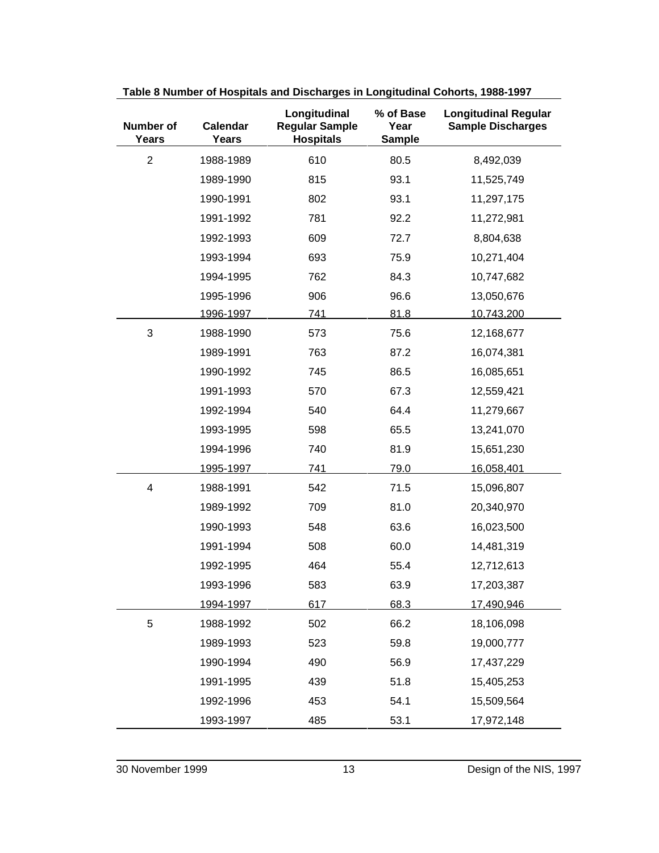| Number of<br>Years      | Calendar<br><b>Years</b> | Longitudinal<br><b>Regular Sample</b><br><b>Hospitals</b> | % of Base<br>Year<br><b>Sample</b> | <b>Longitudinal Regular</b><br><b>Sample Discharges</b> |
|-------------------------|--------------------------|-----------------------------------------------------------|------------------------------------|---------------------------------------------------------|
| $\overline{2}$          | 1988-1989                | 610                                                       | 80.5                               | 8,492,039                                               |
|                         | 1989-1990                | 815                                                       | 93.1                               | 11,525,749                                              |
|                         | 1990-1991                | 802                                                       | 93.1                               | 11,297,175                                              |
|                         | 1991-1992                | 781                                                       | 92.2                               | 11,272,981                                              |
|                         | 1992-1993                | 609                                                       | 72.7                               | 8,804,638                                               |
|                         | 1993-1994                | 693                                                       | 75.9                               | 10,271,404                                              |
|                         | 1994-1995                | 762                                                       | 84.3                               | 10,747,682                                              |
|                         | 1995-1996                | 906                                                       | 96.6                               | 13,050,676                                              |
|                         | 1996-1997                | <u>741</u>                                                | 81.8                               | 10,743,200                                              |
| 3                       | 1988-1990                | 573                                                       | 75.6                               | 12,168,677                                              |
|                         | 1989-1991                | 763                                                       | 87.2                               | 16,074,381                                              |
|                         | 1990-1992                | 745                                                       | 86.5                               | 16,085,651                                              |
|                         | 1991-1993                | 570                                                       | 67.3                               | 12,559,421                                              |
|                         | 1992-1994                | 540                                                       | 64.4                               | 11,279,667                                              |
|                         | 1993-1995                | 598                                                       | 65.5                               | 13,241,070                                              |
|                         | 1994-1996                | 740                                                       | 81.9                               | 15,651,230                                              |
|                         | 1995-1997                | 741                                                       | 79.0                               | 16,058,401                                              |
| $\overline{\mathbf{4}}$ | 1988-1991                | 542                                                       | 71.5                               | 15,096,807                                              |
|                         | 1989-1992                | 709                                                       | 81.0                               | 20,340,970                                              |
|                         | 1990-1993                | 548                                                       | 63.6                               | 16,023,500                                              |
|                         | 1991-1994                | 508                                                       | 60.0                               | 14,481,319                                              |
|                         | 1992-1995                | 464                                                       | 55.4                               | 12,712,613                                              |
|                         | 1993-1996                | 583                                                       | 63.9                               | 17,203,387                                              |
|                         | <u>1994-1997</u>         | 617                                                       | 68.3                               | 17,490,946                                              |
| 5                       | 1988-1992                | 502                                                       | 66.2                               | 18,106,098                                              |
|                         | 1989-1993                | 523                                                       | 59.8                               | 19,000,777                                              |
|                         | 1990-1994                | 490                                                       | 56.9                               | 17,437,229                                              |
|                         | 1991-1995                | 439                                                       | 51.8                               | 15,405,253                                              |
|                         | 1992-1996                | 453                                                       | 54.1                               | 15,509,564                                              |
|                         | 1993-1997                | 485                                                       | 53.1                               | 17,972,148                                              |

**Table 8 Number of Hospitals and Discharges in Longitudinal Cohorts, 1988-1997**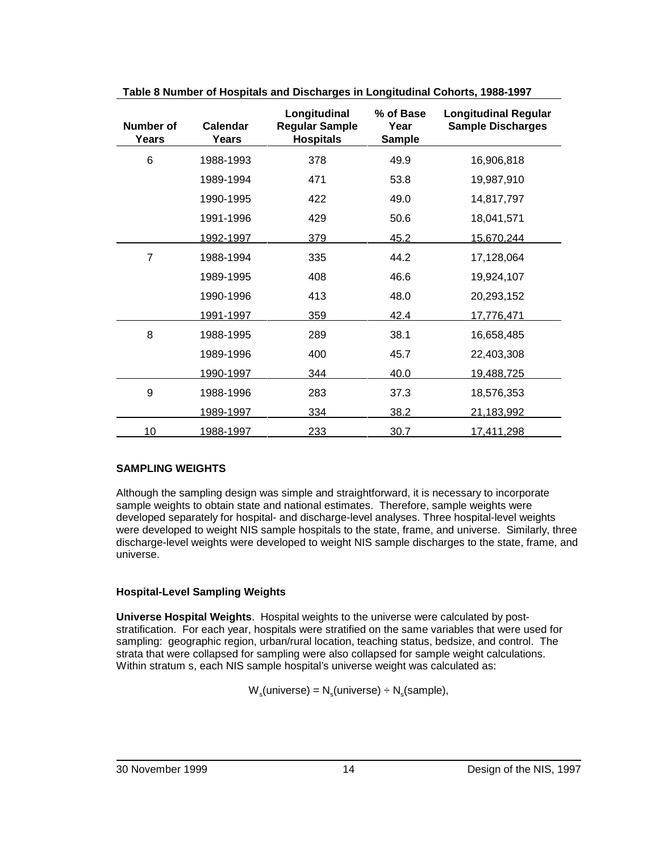| <b>Number of</b><br>Years | <b>Calendar</b><br>Years | Longitudinal<br><b>Regular Sample</b><br><b>Hospitals</b> | % of Base<br>Year<br><b>Sample</b> | <b>Longitudinal Regular</b><br><b>Sample Discharges</b> |
|---------------------------|--------------------------|-----------------------------------------------------------|------------------------------------|---------------------------------------------------------|
| 6                         | 1988-1993                | 378                                                       | 49.9                               | 16,906,818                                              |
|                           | 1989-1994                | 471                                                       | 53.8                               | 19,987,910                                              |
|                           | 1990-1995                | 422                                                       | 49.0                               | 14,817,797                                              |
|                           | 1991-1996                | 429                                                       | 50.6                               | 18,041,571                                              |
|                           | <u>1992-1997</u>         | 379                                                       | 45.2                               | 15,670,244                                              |
| $\overline{7}$            | 1988-1994                | 335                                                       | 44.2                               | 17,128,064                                              |
|                           | 1989-1995                | 408                                                       | 46.6                               | 19,924,107                                              |
|                           | 1990-1996                | 413                                                       | 48.0                               | 20,293,152                                              |
|                           | 1991-1997                | 359                                                       | 42.4                               | <u>17,776,471</u>                                       |
| 8                         | 1988-1995                | 289                                                       | 38.1                               | 16,658,485                                              |
|                           | 1989-1996                | 400                                                       | 45.7                               | 22,403,308                                              |
|                           | 1990-1997                | 344                                                       | 40.0                               | 19,488,725                                              |
| 9                         | 1988-1996                | 283                                                       | 37.3                               | 18,576,353                                              |
|                           | 1989-1997                | 334                                                       | 38.2                               | 21,183,992                                              |
| 10                        | <u>1988-1997</u>         | 233                                                       | 30.7                               | 17,411,298                                              |

**Table 8 Number of Hospitals and Discharges in Longitudinal Cohorts, 1988-1997**

## **SAMPLING WEIGHTS**

Although the sampling design was simple and straightforward, it is necessary to incorporate sample weights to obtain state and national estimates. Therefore, sample weights were developed separately for hospital- and discharge-level analyses. Three hospital-level weights were developed to weight NIS sample hospitals to the state, frame, and universe. Similarly, three discharge-level weights were developed to weight NIS sample discharges to the state, frame, and universe.

## **Hospital-Level Sampling Weights**

**Universe Hospital Weights**. Hospital weights to the universe were calculated by poststratification. For each year, hospitals were stratified on the same variables that were used for sampling: geographic region, urban/rural location, teaching status, bedsize, and control. The strata that were collapsed for sampling were also collapsed for sample weight calculations. Within stratum s, each NIS sample hospital's universe weight was calculated as:

 $W_s$ (universe) =  $N_s$ (universe) ÷  $N_s$ (sample),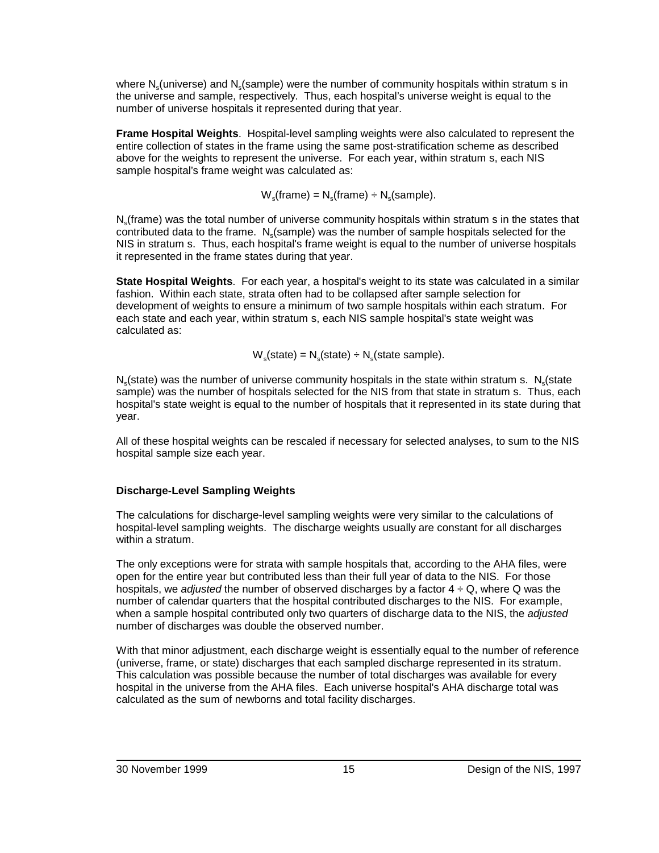where  $N_s$  (universe) and  $N_s$  (sample) were the number of community hospitals within stratum s in the universe and sample, respectively. Thus, each hospital's universe weight is equal to the number of universe hospitals it represented during that year.

**Frame Hospital Weights**. Hospital-level sampling weights were also calculated to represent the entire collection of states in the frame using the same post-stratification scheme as described above for the weights to represent the universe. For each year, within stratum s, each NIS sample hospital's frame weight was calculated as:

 $W_s$ (frame) =  $N_s$ (frame) ÷  $N_s$ (sample).

N<sub>s</sub> (frame) was the total number of universe community hospitals within stratum s in the states that contributed data to the frame.  $N_s$  (sample) was the number of sample hospitals selected for the NIS in stratum s. Thus, each hospital's frame weight is equal to the number of universe hospitals it represented in the frame states during that year.

**State Hospital Weights**. For each year, a hospital's weight to its state was calculated in a similar fashion. Within each state, strata often had to be collapsed after sample selection for development of weights to ensure a minimum of two sample hospitals within each stratum. For each state and each year, within stratum s, each NIS sample hospital's state weight was calculated as:

 $W_s$ (state) =  $N_s$ (state) ÷  $N_s$ (state sample).

 $N<sub>s</sub>$ (state) was the number of universe community hospitals in the state within stratum s.  $N<sub>s</sub>$ (state sample) was the number of hospitals selected for the NIS from that state in stratum s. Thus, each hospital's state weight is equal to the number of hospitals that it represented in its state during that year.

All of these hospital weights can be rescaled if necessary for selected analyses, to sum to the NIS hospital sample size each year.

## **Discharge-Level Sampling Weights**

The calculations for discharge-level sampling weights were very similar to the calculations of hospital-level sampling weights. The discharge weights usually are constant for all discharges within a stratum.

The only exceptions were for strata with sample hospitals that, according to the AHA files, were open for the entire year but contributed less than their full year of data to the NIS. For those hospitals, we adjusted the number of observed discharges by a factor  $4 \div Q$ , where Q was the number of calendar quarters that the hospital contributed discharges to the NIS. For example, when a sample hospital contributed only two quarters of discharge data to the NIS, the adjusted number of discharges was double the observed number.

With that minor adjustment, each discharge weight is essentially equal to the number of reference (universe, frame, or state) discharges that each sampled discharge represented in its stratum. This calculation was possible because the number of total discharges was available for every hospital in the universe from the AHA files. Each universe hospital's AHA discharge total was calculated as the sum of newborns and total facility discharges.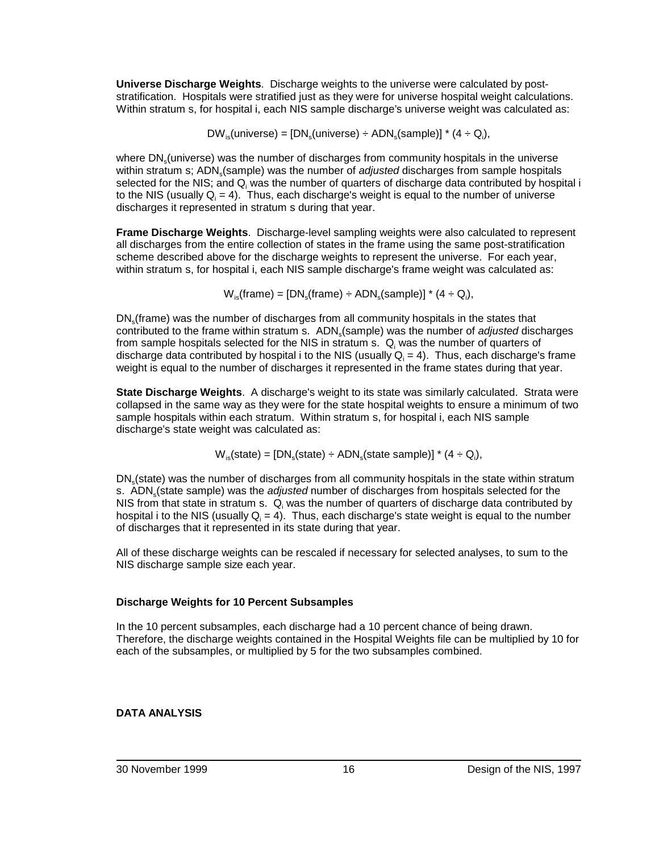**Universe Discharge Weights**. Discharge weights to the universe were calculated by poststratification. Hospitals were stratified just as they were for universe hospital weight calculations. Within stratum s, for hospital i, each NIS sample discharge's universe weight was calculated as:

 $DW_{is}$ (universe) = [DN<sub>s</sub>(universe) ÷ ADN<sub>s</sub>(sample)] \* (4 ÷ Q<sub>i</sub>),

where DN<sub>s</sub>(universe) was the number of discharges from community hospitals in the universe within stratum s; ADN (sample) was the number of *adjusted* discharges from sample hospitals selected for the NIS; and Q<sub>i</sub> was the number of quarters of discharge data contributed by hospital i to the NIS (usually Q $_i$  = 4). Thus, each discharge's weight is equal to the number of universe discharges it represented in stratum s during that year.

**Frame Discharge Weights**. Discharge-level sampling weights were also calculated to represent all discharges from the entire collection of states in the frame using the same post-stratification scheme described above for the discharge weights to represent the universe. For each year, within stratum s, for hospital i, each NIS sample discharge's frame weight was calculated as:

 ${\mathsf W}_{\textsf{is}}(\textsf{frame}) = [\mathsf{DN}_{\textsf{s}}(\textsf{frame}) \div \mathsf{ADN}_{\textsf{s}}(\textsf{sample})]$  \* (4  $\div$  Q<sub>i</sub>),

DN<sub>s</sub>(frame) was the number of discharges from all community hospitals in the states that contributed to the frame within stratum s. ADN<sub>s</sub>(sample) was the number of adjusted discharges from sample hospitals selected for the NIS in stratum s.  $\, {\mathsf Q}_i \,$  was the number of quarters of discharge data contributed by hospital i to the NIS (usually Q $_i$  = 4). Thus, each discharge's frame weight is equal to the number of discharges it represented in the frame states during that year.

**State Discharge Weights**. A discharge's weight to its state was similarly calculated. Strata were collapsed in the same way as they were for the state hospital weights to ensure a minimum of two sample hospitals within each stratum. Within stratum s, for hospital i, each NIS sample discharge's state weight was calculated as:

 ${\mathsf W}_{\textsf{is}}(\textsf{state}) = [\mathsf{DN}_{\textsf{s}}(\textsf{state}) \div \mathsf{ADN}_{\textsf{s}}(\textsf{state}~\textsf{sample})]$ \* (4 ÷ Q<sub>i</sub>),

DN<sub>s</sub>(state) was the number of discharges from all community hospitals in the state within stratum s. ADN<sub>s</sub> (state sample) was the *adjusted* number of discharges from hospitals selected for the NIS from that state in stratum s.  $\, {\mathsf Q}_i \,$ was the number of quarters of discharge data contributed by hospital i to the NIS (usually  $\mathsf{Q}_\mathsf{i} = 4$ ). Thus, each discharge's state weight is equal to the number of discharges that it represented in its state during that year.

All of these discharge weights can be rescaled if necessary for selected analyses, to sum to the NIS discharge sample size each year.

## **Discharge Weights for 10 Percent Subsamples**

In the 10 percent subsamples, each discharge had a 10 percent chance of being drawn. Therefore, the discharge weights contained in the Hospital Weights file can be multiplied by 10 for each of the subsamples, or multiplied by 5 for the two subsamples combined.

## **DATA ANALYSIS**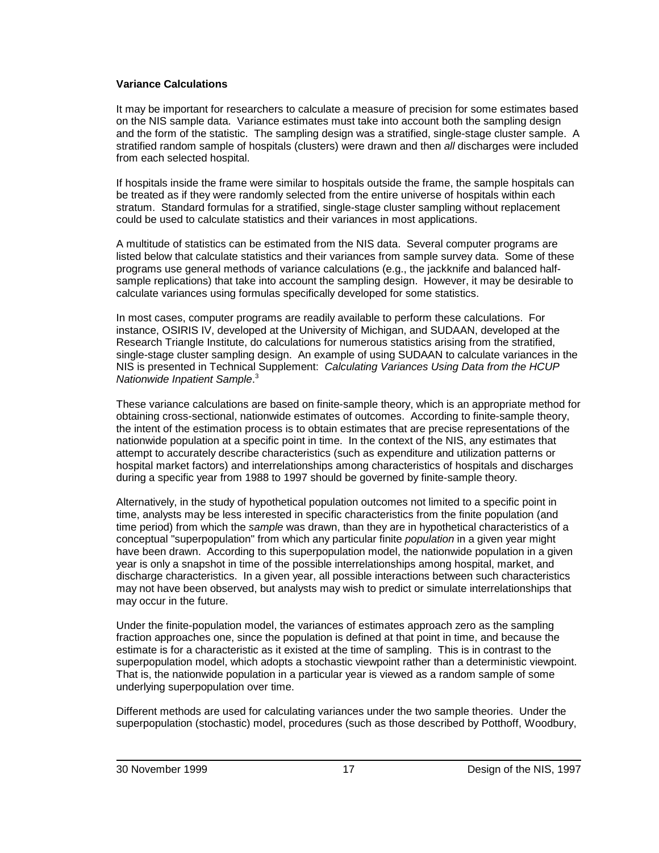#### **Variance Calculations**

It may be important for researchers to calculate a measure of precision for some estimates based on the NIS sample data. Variance estimates must take into account both the sampling design and the form of the statistic. The sampling design was a stratified, single-stage cluster sample. A stratified random sample of hospitals (clusters) were drawn and then all discharges were included from each selected hospital.

If hospitals inside the frame were similar to hospitals outside the frame, the sample hospitals can be treated as if they were randomly selected from the entire universe of hospitals within each stratum. Standard formulas for a stratified, single-stage cluster sampling without replacement could be used to calculate statistics and their variances in most applications.

A multitude of statistics can be estimated from the NIS data. Several computer programs are listed below that calculate statistics and their variances from sample survey data. Some of these programs use general methods of variance calculations (e.g., the jackknife and balanced halfsample replications) that take into account the sampling design. However, it may be desirable to calculate variances using formulas specifically developed for some statistics.

In most cases, computer programs are readily available to perform these calculations. For instance, OSIRIS IV, developed at the University of Michigan, and SUDAAN, developed at the Research Triangle Institute, do calculations for numerous statistics arising from the stratified, single-stage cluster sampling design. An example of using SUDAAN to calculate variances in the NIS is presented in Technical Supplement: Calculating Variances Using Data from the HCUP Nationwide Inpatient Sample.<sup>3</sup>

These variance calculations are based on finite-sample theory, which is an appropriate method for obtaining cross-sectional, nationwide estimates of outcomes. According to finite-sample theory, the intent of the estimation process is to obtain estimates that are precise representations of the nationwide population at a specific point in time. In the context of the NIS, any estimates that attempt to accurately describe characteristics (such as expenditure and utilization patterns or hospital market factors) and interrelationships among characteristics of hospitals and discharges during a specific year from 1988 to 1997 should be governed by finite-sample theory.

Alternatively, in the study of hypothetical population outcomes not limited to a specific point in time, analysts may be less interested in specific characteristics from the finite population (and time period) from which the sample was drawn, than they are in hypothetical characteristics of a conceptual "superpopulation" from which any particular finite *population* in a given year might have been drawn. According to this superpopulation model, the nationwide population in a given year is only a snapshot in time of the possible interrelationships among hospital, market, and discharge characteristics. In a given year, all possible interactions between such characteristics may not have been observed, but analysts may wish to predict or simulate interrelationships that may occur in the future.

Under the finite-population model, the variances of estimates approach zero as the sampling fraction approaches one, since the population is defined at that point in time, and because the estimate is for a characteristic as it existed at the time of sampling. This is in contrast to the superpopulation model, which adopts a stochastic viewpoint rather than a deterministic viewpoint. That is, the nationwide population in a particular year is viewed as a random sample of some underlying superpopulation over time.

Different methods are used for calculating variances under the two sample theories. Under the superpopulation (stochastic) model, procedures (such as those described by Potthoff, Woodbury,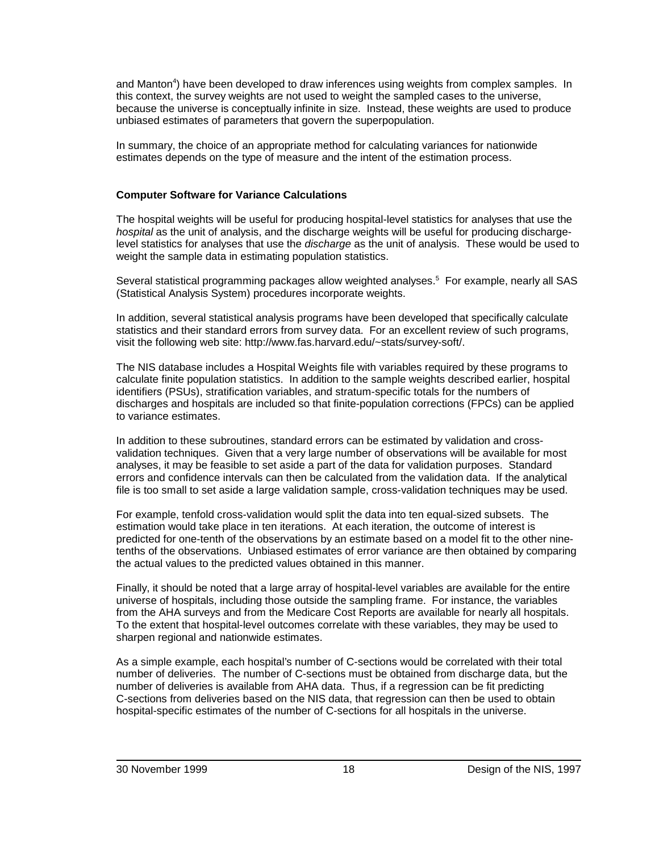and Manton<sup>4</sup>) have been developed to draw inferences using weights from complex samples. In this context, the survey weights are not used to weight the sampled cases to the universe, because the universe is conceptually infinite in size. Instead, these weights are used to produce unbiased estimates of parameters that govern the superpopulation.

In summary, the choice of an appropriate method for calculating variances for nationwide estimates depends on the type of measure and the intent of the estimation process.

### **Computer Software for Variance Calculations**

The hospital weights will be useful for producing hospital-level statistics for analyses that use the hospital as the unit of analysis, and the discharge weights will be useful for producing dischargelevel statistics for analyses that use the *discharge* as the unit of analysis. These would be used to weight the sample data in estimating population statistics.

Several statistical programming packages allow weighted analyses.<sup>5</sup> For example, nearly all SAS (Statistical Analysis System) procedures incorporate weights.

In addition, several statistical analysis programs have been developed that specifically calculate statistics and their standard errors from survey data. For an excellent review of such programs, visit the following web site: http://www.fas.harvard.edu/~stats/survey-soft/.

The NIS database includes a Hospital Weights file with variables required by these programs to calculate finite population statistics. In addition to the sample weights described earlier, hospital identifiers (PSUs), stratification variables, and stratum-specific totals for the numbers of discharges and hospitals are included so that finite-population corrections (FPCs) can be applied to variance estimates.

In addition to these subroutines, standard errors can be estimated by validation and crossvalidation techniques. Given that a very large number of observations will be available for most analyses, it may be feasible to set aside a part of the data for validation purposes. Standard errors and confidence intervals can then be calculated from the validation data. If the analytical file is too small to set aside a large validation sample, cross-validation techniques may be used.

For example, tenfold cross-validation would split the data into ten equal-sized subsets. The estimation would take place in ten iterations. At each iteration, the outcome of interest is predicted for one-tenth of the observations by an estimate based on a model fit to the other ninetenths of the observations. Unbiased estimates of error variance are then obtained by comparing the actual values to the predicted values obtained in this manner.

Finally, it should be noted that a large array of hospital-level variables are available for the entire universe of hospitals, including those outside the sampling frame. For instance, the variables from the AHA surveys and from the Medicare Cost Reports are available for nearly all hospitals. To the extent that hospital-level outcomes correlate with these variables, they may be used to sharpen regional and nationwide estimates.

As a simple example, each hospital's number of C-sections would be correlated with their total number of deliveries. The number of C-sections must be obtained from discharge data, but the number of deliveries is available from AHA data. Thus, if a regression can be fit predicting C-sections from deliveries based on the NIS data, that regression can then be used to obtain hospital-specific estimates of the number of C-sections for all hospitals in the universe.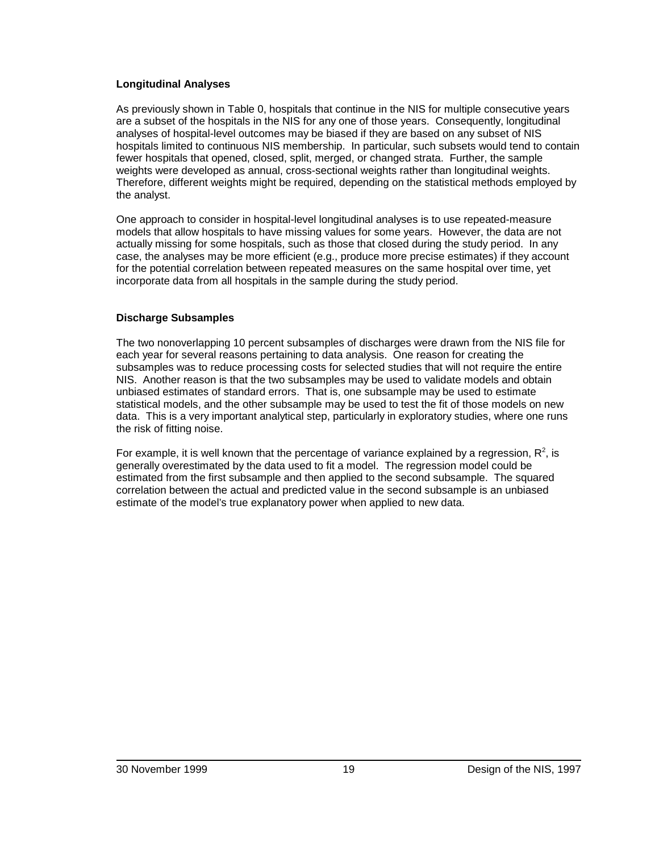### **Longitudinal Analyses**

As previously shown in Table 0, hospitals that continue in the NIS for multiple consecutive years are a subset of the hospitals in the NIS for any one of those years. Consequently, longitudinal analyses of hospital-level outcomes may be biased if they are based on any subset of NIS hospitals limited to continuous NIS membership. In particular, such subsets would tend to contain fewer hospitals that opened, closed, split, merged, or changed strata. Further, the sample weights were developed as annual, cross-sectional weights rather than longitudinal weights. Therefore, different weights might be required, depending on the statistical methods employed by the analyst.

One approach to consider in hospital-level longitudinal analyses is to use repeated-measure models that allow hospitals to have missing values for some years. However, the data are not actually missing for some hospitals, such as those that closed during the study period. In any case, the analyses may be more efficient (e.g., produce more precise estimates) if they account for the potential correlation between repeated measures on the same hospital over time, yet incorporate data from all hospitals in the sample during the study period.

## **Discharge Subsamples**

The two nonoverlapping 10 percent subsamples of discharges were drawn from the NIS file for each year for several reasons pertaining to data analysis. One reason for creating the subsamples was to reduce processing costs for selected studies that will not require the entire NIS. Another reason is that the two subsamples may be used to validate models and obtain unbiased estimates of standard errors. That is, one subsample may be used to estimate statistical models, and the other subsample may be used to test the fit of those models on new data. This is a very important analytical step, particularly in exploratory studies, where one runs the risk of fitting noise.

For example, it is well known that the percentage of variance explained by a regression,  $\mathsf{R}^2$ , is generally overestimated by the data used to fit a model. The regression model could be estimated from the first subsample and then applied to the second subsample. The squared correlation between the actual and predicted value in the second subsample is an unbiased estimate of the model's true explanatory power when applied to new data.